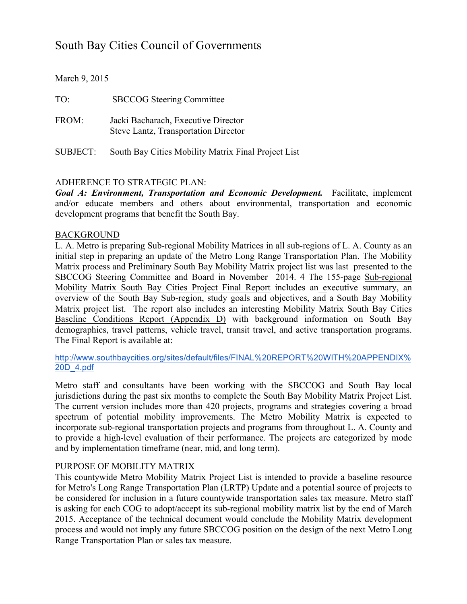# South Bay Cities Council of Governments

March 9, 2015

| TO:      | <b>SBCCOG</b> Steering Committee                                            |
|----------|-----------------------------------------------------------------------------|
| FROM:    | Jacki Bacharach, Executive Director<br>Steve Lantz, Transportation Director |
| SUBJECT: | South Bay Cities Mobility Matrix Final Project List                         |

# ADHERENCE TO STRATEGIC PLAN:

*Goal A: Environment, Transportation and Economic Development.* Facilitate, implement and/or educate members and others about environmental, transportation and economic development programs that benefit the South Bay.

### BACKGROUND

L. A. Metro is preparing Sub-regional Mobility Matrices in all sub-regions of L. A. County as an initial step in preparing an update of the Metro Long Range Transportation Plan. The Mobility Matrix process and Preliminary South Bay Mobility Matrix project list was last presented to the SBCCOG Steering Committee and Board in November 2014. 4 The 155-page Sub-regional Mobility Matrix South Bay Cities Project Final Report includes an executive summary, an overview of the South Bay Sub-region, study goals and objectives, and a South Bay Mobility Matrix project list. The report also includes an interesting Mobility Matrix South Bay Cities Baseline Conditions Report (Appendix D) with background information on South Bay demographics, travel patterns, vehicle travel, transit travel, and active transportation programs. The Final Report is available at:

http://www.southbaycities.org/sites/default/files/FINAL%20REPORT%20WITH%20APPENDIX% 20D\_4.pdf

Metro staff and consultants have been working with the SBCCOG and South Bay local jurisdictions during the past six months to complete the South Bay Mobility Matrix Project List. The current version includes more than 420 projects, programs and strategies covering a broad spectrum of potential mobility improvements. The Metro Mobility Matrix is expected to incorporate sub-regional transportation projects and programs from throughout L. A. County and to provide a high-level evaluation of their performance. The projects are categorized by mode and by implementation timeframe (near, mid, and long term).

# PURPOSE OF MOBILITY MATRIX

This countywide Metro Mobility Matrix Project List is intended to provide a baseline resource for Metro's Long Range Transportation Plan (LRTP) Update and a potential source of projects to be considered for inclusion in a future countywide transportation sales tax measure. Metro staff is asking for each COG to adopt/accept its sub-regional mobility matrix list by the end of March 2015. Acceptance of the technical document would conclude the Mobility Matrix development process and would not imply any future SBCCOG position on the design of the next Metro Long Range Transportation Plan or sales tax measure.